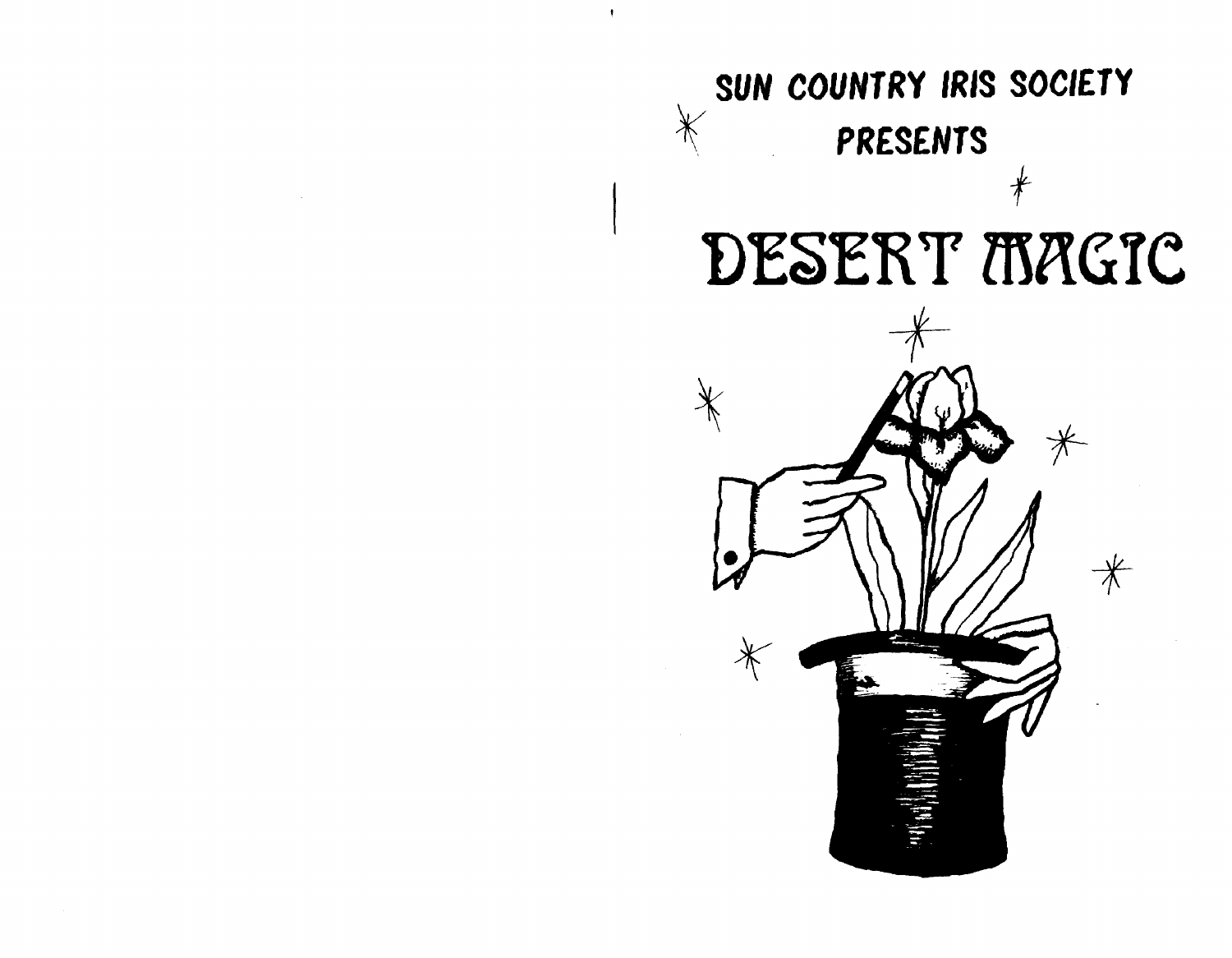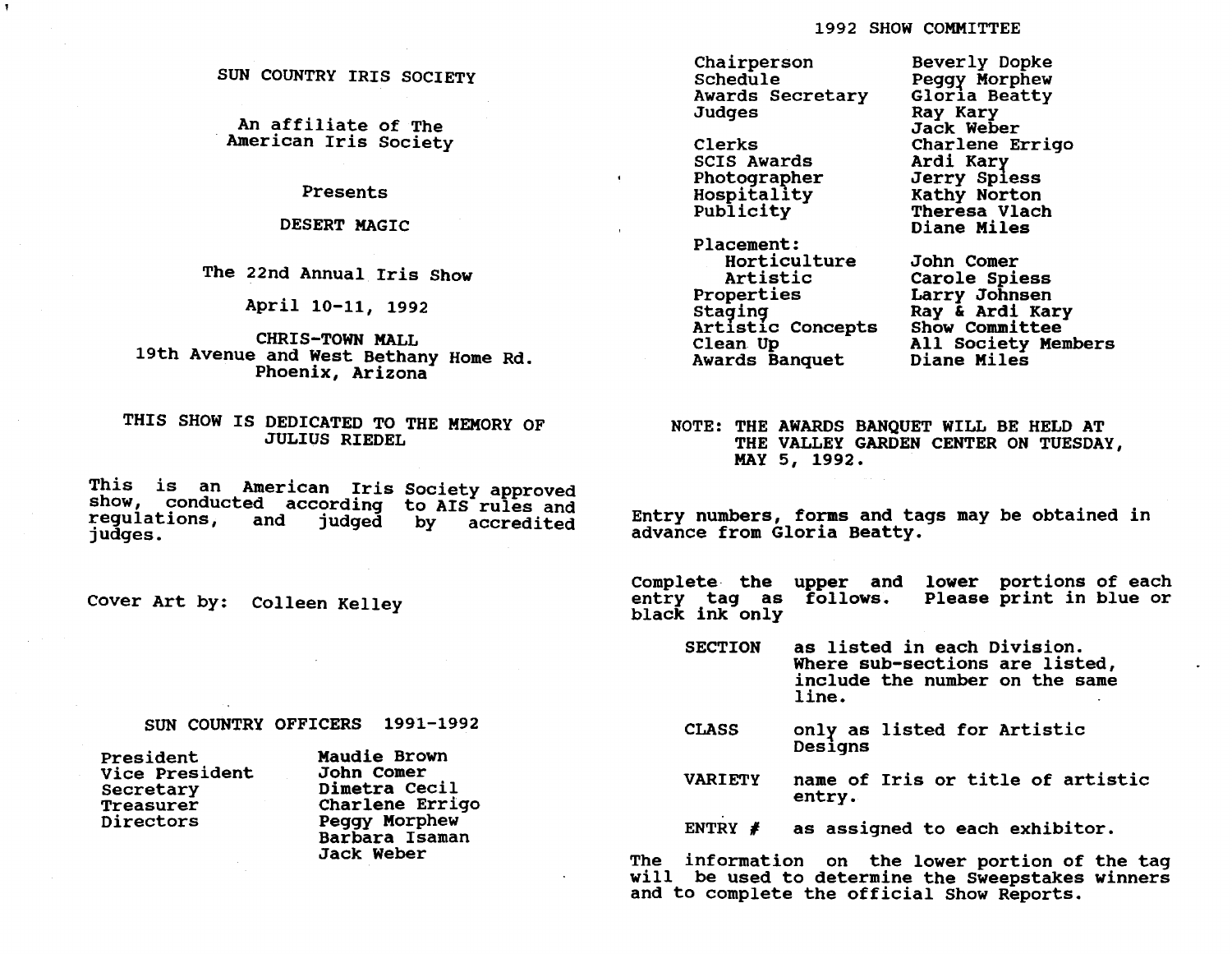SUN COUNTRY IRIS SOCIETY

An affiliate of The<br>American Iris Society

Presents

DESERT MAGIC

The 22nd Annual Iris Show

April 10-11, 1992

CHRIS-TOWN MALL 19th Avenue and West Bethany Home Rd. Phoenix, Arizona

THIS SHOW IS DEDICATED TO THE MEMORY OF JULIUS RIEDEL

This is an American Iris Society approved<br>show, conducted according to AIS rules and<br>regulations, and judged by accredited and judged by accredited judges.

Cover Art by: Colleen Kelley

SUN COUNTRY OFFICERS 1991-1992

| President                    | Maudie Brown    |  |  |
|------------------------------|-----------------|--|--|
| Vice President<br>John Comer |                 |  |  |
| Secretary                    | Dimetra Cecil   |  |  |
| Treasurer                    | Charlene Errigo |  |  |
| Directors                    | Peggy Morphew   |  |  |
|                              | Barbara Isaman  |  |  |
|                              | Jack Weber      |  |  |

Chairperson Schedule Awards Secretary Judges

Clerks SCIS Awards Photographer Hospitality Publicity

 $\bullet$ 

Placement: Horticulture Artistic Properties Staging Artistic Concepts<br>Clean Up Awards Banquet

Beverly Dopke peggr Morphew Gloria Beatty<br>Ray Kary Jack Weber Charlene Errigo Ardi Karr Jerry Spless Kathy Norton Theresa Vlach Diane Miles

John Comer Carole Spiess Larry Johnsen Ray & Ardi Kary Show Committee All Society Members Diane Miles

NOTE: THE AWARDS BANQUET WILL BE HELD AT THE VALLEY GARDEN CENTER ON TUESDAY, MAY 5, 1992.

Entry numbers, forms and tags may be obtained in advance from Gloria Beatty.

Complete the upper and lower portions of each entry tag as follows. black ink only Please print in blue or

SECTION as listed in each Division. Where sub-sections are listed, include the number on the same line.

- CLASS onlr as listed for Artistic Designs
- VARIETY name of Iris or title of artistic entry.

ENTRY  $\neq$ as assigned to each exhibitor.

The information on the lower portion of the tag will be used to determine the Sweepstakes winners and to complete the official Show Reports.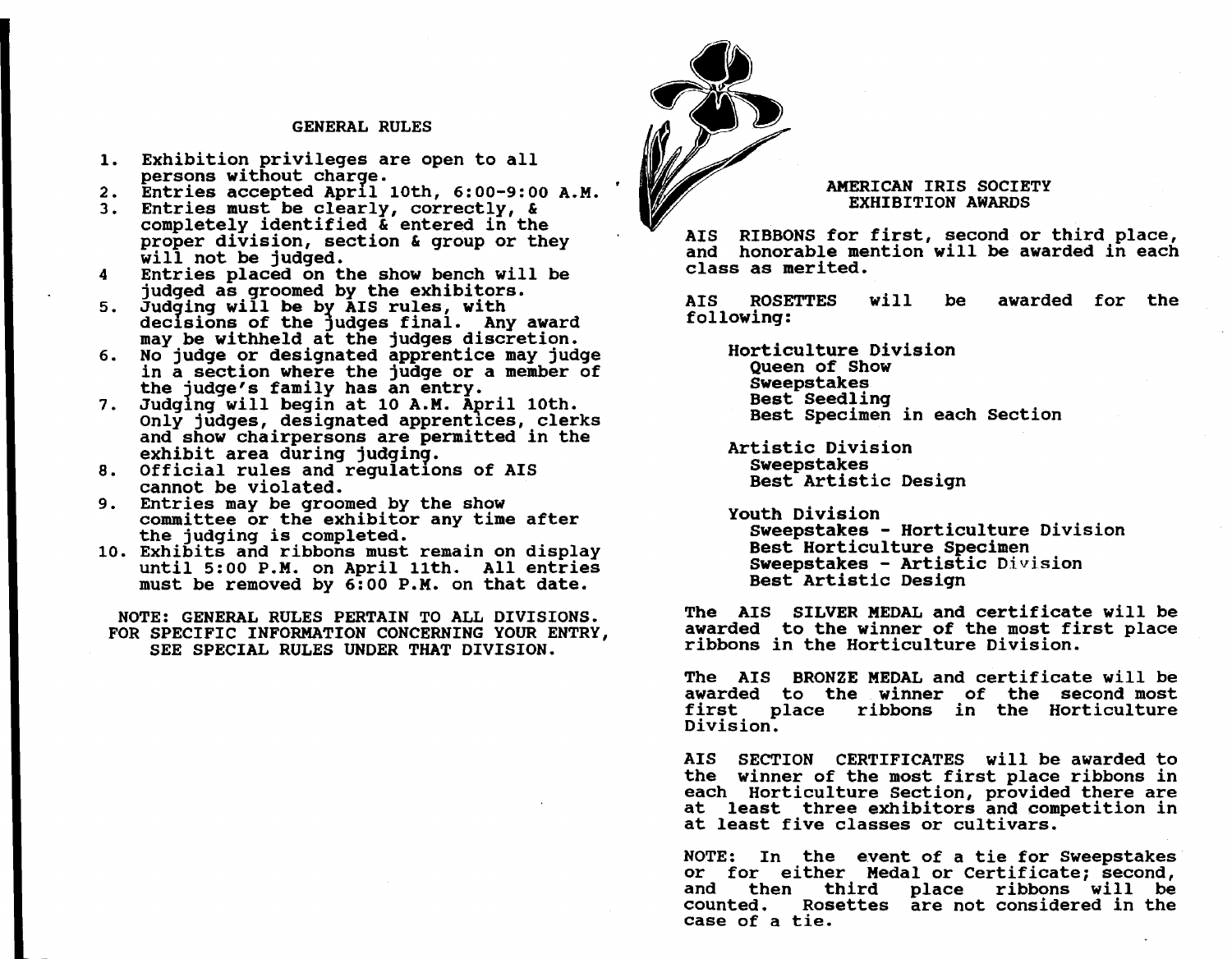## GENERAL RULES

- 1. Exhibition privileges are open to all persons without charge.
- 2. Entries accepted Apr11 10th, 6:00-9:00 A.M.
- 3. Entries must be clearly, correctly, & completely identified & entered in the proper division, section & group or they will not be judged. Entries placed on the show bench will be
- 4 judged as groomed by the exhibitors.
- 5. Judging will be by  $\overline{A}$ IS rules, with decisions of the judges final. Any award may be withheld at the judges discretion.
- 6. No judge or designated apprentice may judge in a section where the judge or a member of<br>the judge's family has an entry.
- 7. Judging will begin at 10 A.M. April 10th. Only judges, designated apprentices, clerks and show chairpersons are permitted in the exhibit area during judging.
- 8. Official rules and regulations of AIS cannot be violated.
- 9. Entries may be groomed by the show committee or the exhibitor any time after<br>the judging is completed.
- 10. the judging is completed. Exhibits and ribbons must remain on display until 5:00 P.M. on April 11th. All entries until 5:00 P.M. on April 11th. All entries<br>must be removed by 6:00 P.M. on that date.

NOTE: GENERAL RULES PERTAIN TO ALL DIVISIONS. FOR SPECIFIC INFORMATION CONCERNING YOUR ENTRY, SEE SPECIAL RULES UNDER THAT DIVISION.



# AMERICAN IRIS SOCIETY EXHIBITION AWARDS

AIS RIBBONS for first, second or third place, and honorable mention will be awarded in each class as merited.

AIS ROSETTES following: will be awarded for the

Horticulture Division Queen of Show Sweepstakes Best Seedling Best Specimen in each Section

Artistic Division Sweepstakes Best Artistic Design

youth Division Sweepstakes - Horticulture Division Sweepstakes - Artistic Division Best Artistic Design

The AIS SILVER MEDAL and certificate will be awarded to the winner of the most first place ribbons in the Horticulture Division.

The AIS BRONZE MEDAL and certificate will be awarded to the winner of the second most first place ribbons in the Horticulture Division.

AIS SECTION CERTIFICATES will be awarded to the winner of the most first place ribbons in each Horticulture section, provided there are at least three exhibitors and competition in at least five classes or cultivars.

NOTE: In the event of a tie for Sweepstakes or for either Medal or Certificate; second,<br>and then third place ribbons will be and then third place ribbons will be<br>counted. Rosettes are\_not\_considered\_in\_the Rosettes are not considered in the case of a tie.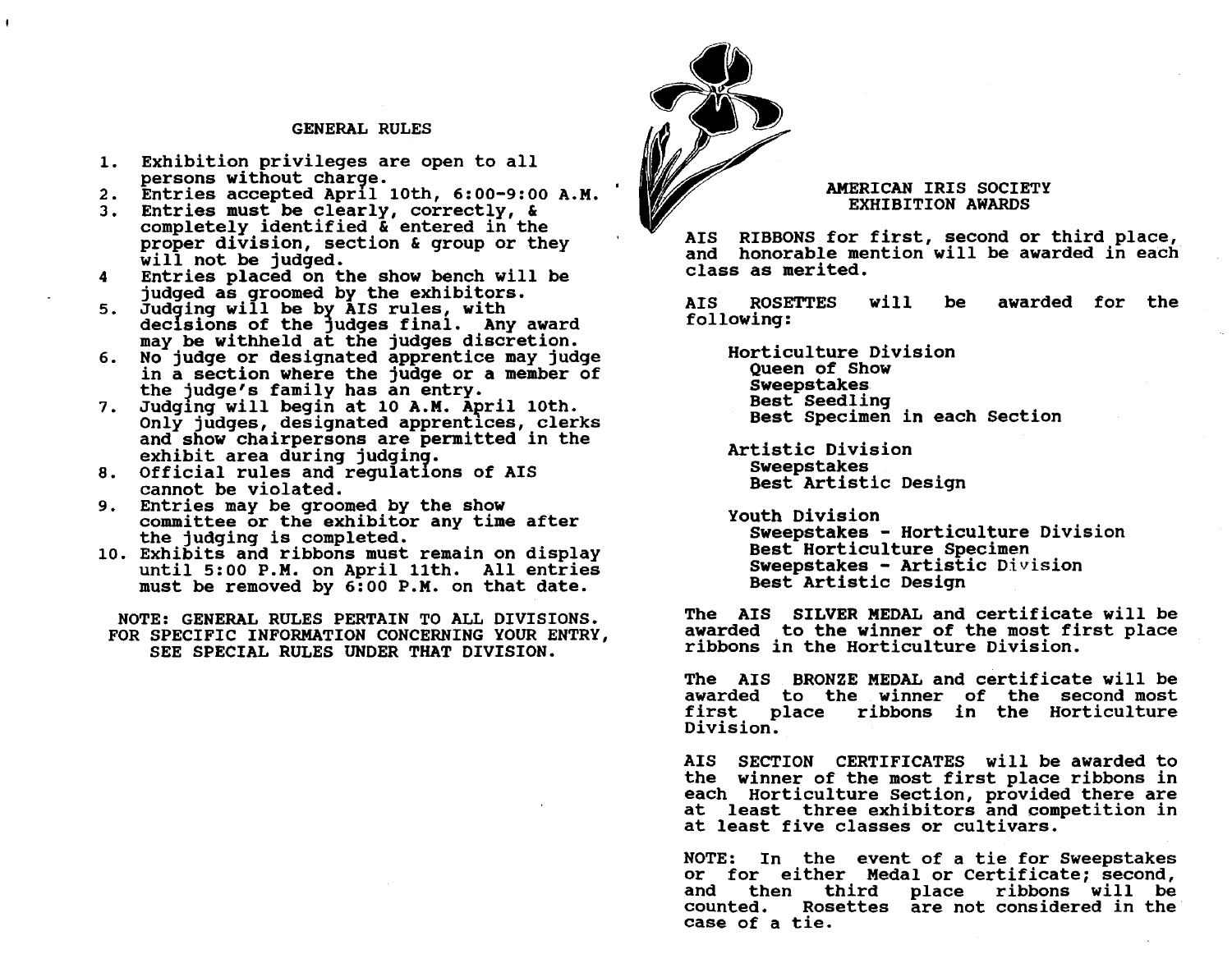## GENERAL RULES

- 1. Exhibition privileges are open to all persons without charge.<br>2. Entries accepted April 10th, 6:00-9:00 A.M.
- 
- 3. Entries must be clearly, correctly, & completely identified & entered in the proper division, section & group or they will not be judged. Entries placed on the show bench will be
- 4 judged as groomed by the exhibitors.
- 5. Judging will be by AIS rules, with decisions of the judges final. Any award may be withheld at the judges discretion.
- 6. No judge or designated apprentice may judge in a section where the judge or a member of
- the judge's family has an entry.<br>7. Judging will begin at 10 A.M. April 10th. exhibit area during judging.<br>8. Official rules and regulations of AIS Only judges, designated apprentices, clerks and show chairpersons are permitted in the<br>exhibit area during judging.
- cannot be violated.
- 9. Entries may be groomed by the show committee or the exhibitor any time after<br>the judging is completed.
- 10. the judging is completed. Exhibits and ribbons must remain on display until 5:00 P.M. on April 11th. All entries until 5:00 P.M. on April 11th. All entries<br>must be removed by 6:00 P.M. on that date.

NOTE: GENERAL RULES PERTAIN TO ALL DIVISIONS. FOR SPECIFIC INFORMATION CONCERNING YOUR ENTRY, SEE SPECIAL RULES UNDER THAT DIVISION.



# AMERICAN IRIS SOCIETY EXHIBITION AWARDS

AIS RIBBONS for first, second or third place, and honorable mention will be awarded in each class as merited.

AIS ROSETTES following: will be awarded for the

Horticulture Division Queen of Show Sweepstakes<br>Best Seedling Best Specimen in each Section

Artistic Division Sweepstakes Best Artistic Design

youth Division Sweepstakes - Horticulture Division<br>Best Horticulture Specimen  $S$ weepstakes - Artistic Division Best Artistic Design

The AIS SILVER MEDAL and certificate will be awarded to the winner of the most first place ribbons in the Horticulture Division.

The AIS BRONZE MEDAL and certificate will be awarded to the winner of the second most first place ribbons in the Horticulture Division.

AIS SECTION CERTIFICATES will be awarded to the winner of the most first place ribbons in each Horticulture section, provided there are at least three exhibitors and competition in at least five classes or cultivars.

NOTE: In the event of a tie for Sweepstakes or for either Medal orCertificate; second,<br>and then third place ribbons will be and then third place ribbons will be<br>counted. Rosettes are\_not\_considered\_in\_the Rosettes are not considered in the case of a tie.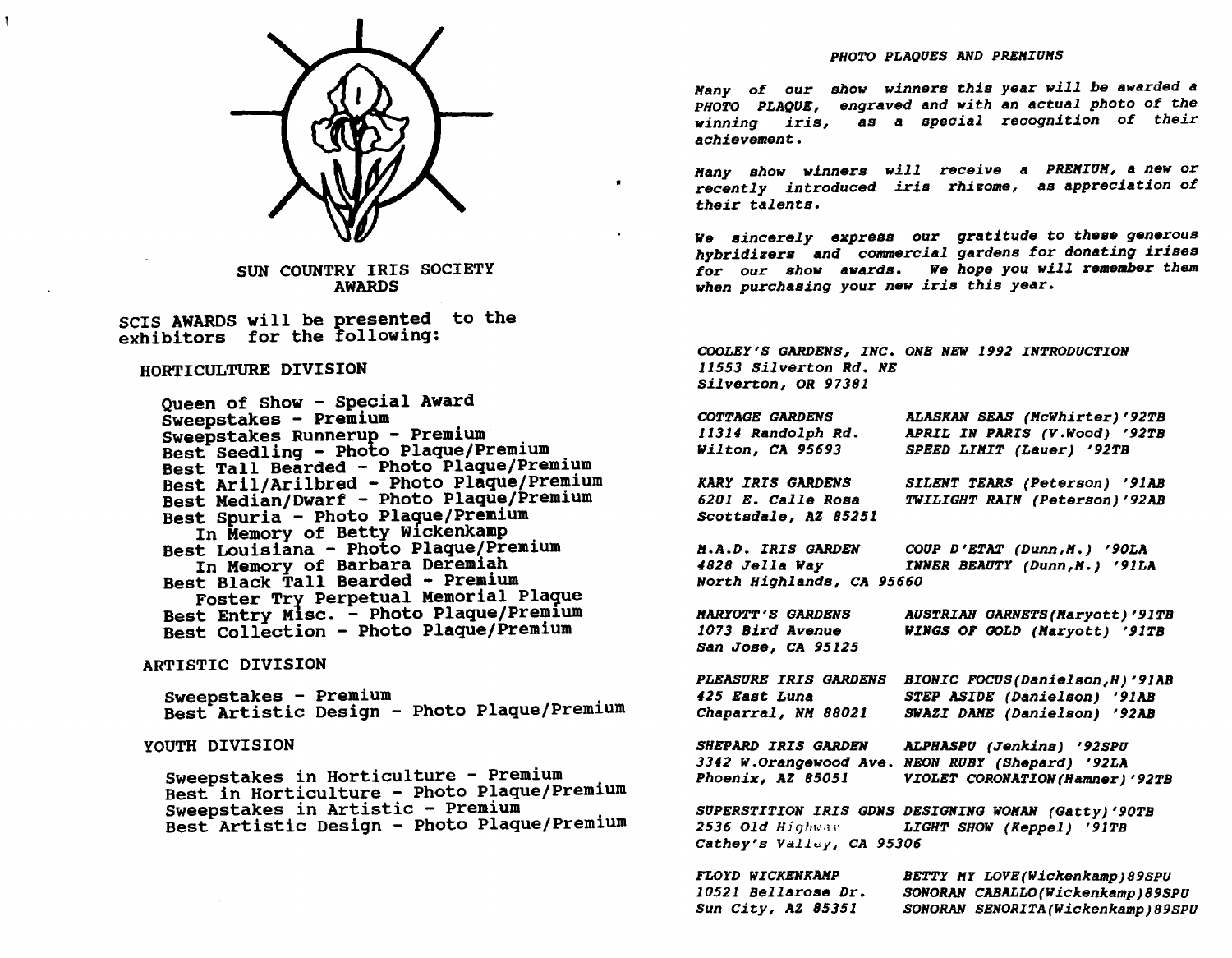

SUN COUNTRY IRIS SOCIETY AWARDS

seIS AWARDS will be presented to the exhibitors for the following:

# HORTICULTURE DIVISION 11553 *Silverton Rd. NE*

Queen of Show - Special Award<br>Sweepstakes - Premium Sweepstakes Runnerup - Premium<br>Best Seedling - Photo Plaque/Premium Best Tall Bearded - Photo Plaque/Premium Best Aril/Arilbred - Photo Plaque/Premium Best Median/Dwarf - Photo Plaque/Premium<br>Best Spuria - Photo Plaque/Premium<br>In Memory of Betty Wickenkamp<br>In Memory of Barbara Deremiah Best Black Tall Bearded - Premium Foster Try Perpetual Memorial Plaque Best Entry M1SC. - Photo Plaque/Prem1um Best Collection - Photo Plaque/Premium

# ARTISTIC DIVISION

Sweepstakes - Premium Best Artistic Design - Photo Plaque/Premium

# YOUTH DIVISION

Sweepstakes in Horticulture - Premium<br>Best in Horticulture - Photo Plaque/Premium<br>Sweepstakes in Artistic - Premium<br>Best Artistic Design - Photo Plaque/Premium

#### *PHOTO PLAQUES AND PREHIUHS*

*Hany of our*  show *winners this year will be awarded* <sup>a</sup> *PHOTO PLAOUE, engraved and with an actual photo of the winning iris,*  as a *special recognition of their achievement.* 

*Many* show *winners will receive* a *PREHIUH,* a new *or recently introduced iris rhizome,*  as *appreciation of their talents.* 

We *sincerely express our gratitude* to *these generous hybridizers and commercial gardens for donating irises for our* show *awards.* We *hope you will remember them when purchasing your* new *iris this year.* 

*COOLEY'S GARDENS, INC. ONE NEW* 1992 *INTRODUCTION Silverton, OR 97381* 

| <b>COTTAGE GARDENS</b>           | <b>ALASKAN SEAS (McWhirter)'92TB</b>                |
|----------------------------------|-----------------------------------------------------|
| 11314 Randolph Rd.               | APRIL IN PARIS (V.Wood) '92TB                       |
| Wilton, CA 95693                 | SPEED LIMIT (Lauer) '92TB                           |
| KARY IRIS GARDENS                | SILENT TEARS (Peterson) '91AB                       |
| <i><b>6201 E. Calle Rosa</b></i> | TWILIGHT RAIN (Peterson)'92AB                       |
| Scottsdale, AZ 85251             |                                                     |
|                                  | M.A.D. IRIS GARDEN COUP D'ETAT (Dunn, M.) '90LA     |
| <i>4828 Jella Way</i>            | INNER BEAUTY (Dunn, N.) '91LA                       |
| North Highlands, CA 95660        |                                                     |
| <b>MARYOTT'S GARDENS</b>         | <b>AUSTRIAN GARNETS (Maryott)'91TB</b>              |
| <i><b>1073 Bird Avenue</b></i>   | WINGS OF GOLD (Maryott) '91TB                       |
| San Jose, CA 95125               |                                                     |
| <b>PLEASURE IRIS GARDENS</b>     | BIONIC FOCUS(Danielson, H)'91AB                     |
| <i>425 East Luna</i>             | STEP ASIDE (Danielson) '91AB                        |
| <i>Chaparral, NM 88021</i>       | SWAZI DAME (Danielson) '92AB                        |
|                                  | SHEPARD IRIS GARDEN ALPHASPU (Jenkins) '92SPU       |
|                                  | 3342 W.Orangewood Ave. NEON RUBY (Shepard) '92LA    |
| <i><b>Phoenix, AZ 85051</b></i>  | VIOLET CORONATION (Hamner) '92TB                    |
|                                  | SUPERSTITION IRIS GDNS DESIGNING WOMAN (Gatty)'90TB |
|                                  | 2536 Old Highway Man LIGHT SHOW (Keppel) '91TB      |
| Cathey's Valley, CA 95306        |                                                     |
| FLOYD WICKENKAMP                 | BETTY MY LOVE (Wickenkamp) 89SPU                    |

| FLOYD WICKENKAMP                  | BETTY MY LOVE (Wickenkamp) 89SPU    |
|-----------------------------------|-------------------------------------|
| <i><b>10521 Bellarose Dr.</b></i> | SONORAN CABALLO (Wickenkamp) 89SPU  |
| Sun City, AZ 85351                | SONORAN SENORITA (Wickenkamp) 89SPU |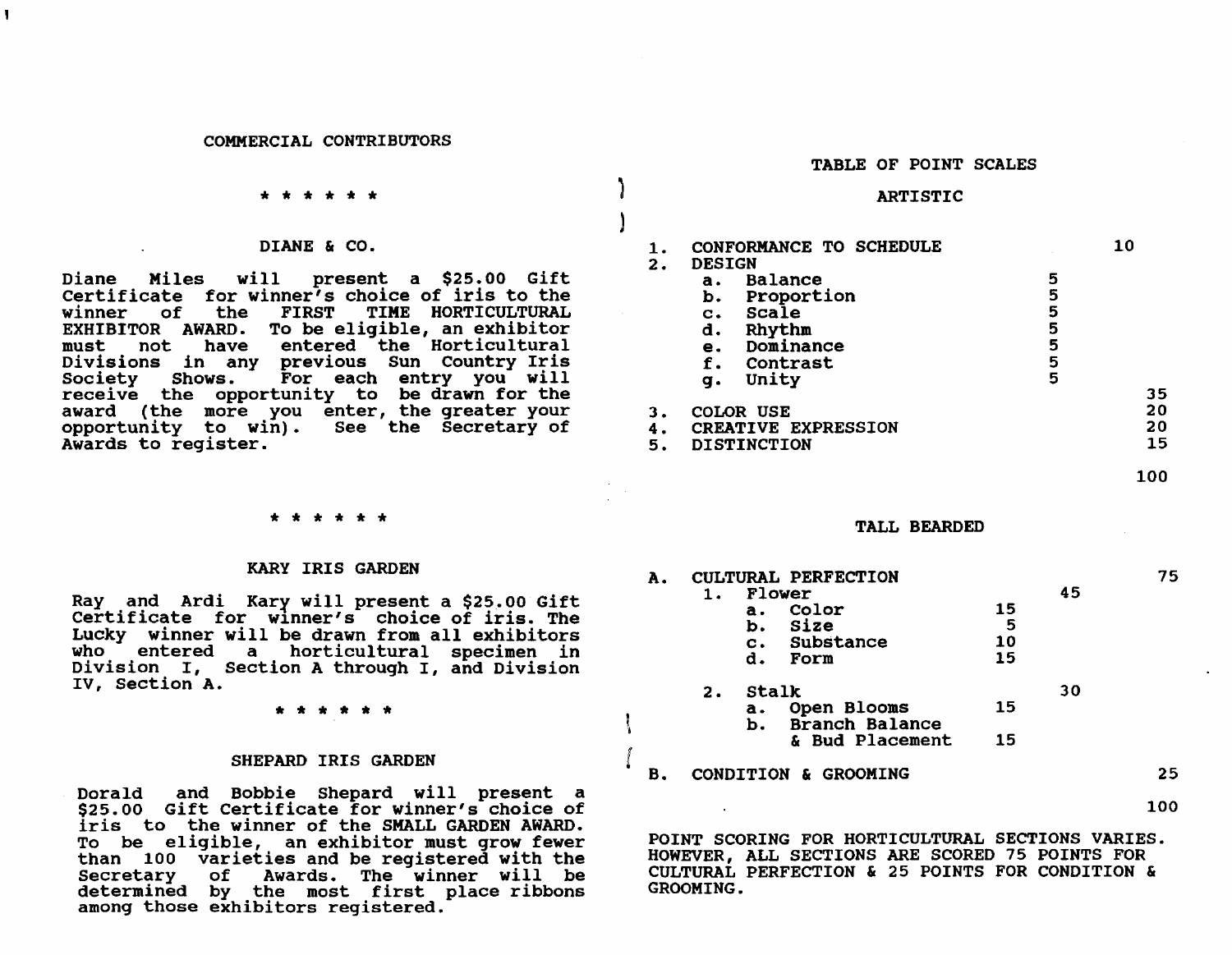#### COMMERCIAL CONTRIBUTORS

#### \* \* \* \* \* \*

#### DIANE & CO.

Diane Miles will present a \$25.00 Gift Certificate for winner's choice of iris to the<br>winner of the FIRST TIME HORTICULTURAL TIME HORTICULTURAL EXHIBITOR AWARD. To be eligible, an exhibitor must not have entered the Horticultural Divisions in any previous Sun country Iris For each entry you will receive the opportunity to be drawn for the award (the more you enter, the greater your opportunity to win). See the Secretary of See the Secretary of Awards to register.

# \* \* \* \* \* \*

#### KARY IRIS GARDEN

Ray and Ardi Kary will present a \$25.00 Gift Certificate for winner's choice of iris. The Lucky winner will be drawn from all exhibitors who entered a horticultural specimen in Division I, Section A through I, and Division IV, section A.

\* \* \* \* \* \*

## SHEPARD IRIS GARDEN

Dorald and Bobbie Shepard will present a \$25.00 Gift Certificate for winner's choice of iris to the winner of the SMALL GARDEN AWARD. To be eligible, an exhibitor must grow fewer than 100 varieties and be registered with the of Awards. The winner will be determined by the most first place ribbons among those exhibitors registered.

#### TABLE OF POINT SCALES

## ARTISTIC

 $\mathcal{L}$ 

)

I I  $\int$ 

| 1.<br>2.       | <b>DESIGN</b>                                          | CONFORMANCE TO SCHEDULE                                                    |                                 | 10             |
|----------------|--------------------------------------------------------|----------------------------------------------------------------------------|---------------------------------|----------------|
|                | a.<br>b.<br>$\mathbf{c}$ .<br>d.<br>е.<br>f.<br>g.     | Balance<br>Proportion<br>Scale<br>Rhythm<br>Dominance<br>Contrast<br>Unity | 5<br>5<br>5<br>5<br>5<br>5<br>5 | 35             |
| з.<br>4.<br>5. | COLOR USE<br>CREATIVE EXPRESSION<br><b>DISTINCTION</b> |                                                                            |                                 | 20<br>20<br>15 |

TALL BEARDED

| А. | CULTURAL PERFECTION<br>45<br>Flower |                                       |                     | 75 |    |
|----|-------------------------------------|---------------------------------------|---------------------|----|----|
|    | а.<br>b.<br>d.                      | Color<br>Size<br>c. Substance<br>Form | 15<br>5<br>10<br>15 |    |    |
|    | Stalk<br>2.                         |                                       |                     | 30 |    |
|    | a.<br>b.                            | Open Blooms<br>Branch Balance         | 15                  |    |    |
|    |                                     | & Bud Placement                       | 15                  |    |    |
|    | CONDITION & GROOMING                |                                       |                     |    | 25 |

100

100

POINT SCORING FOR HORTICULTURAL SECTIONS VARIES. HOWEVER, ALL SECTIONS ARE SCORED 75 POINTS FOR CULTURAL PERFECTION & 25 POINTS FOR CONDITION & GROOMING.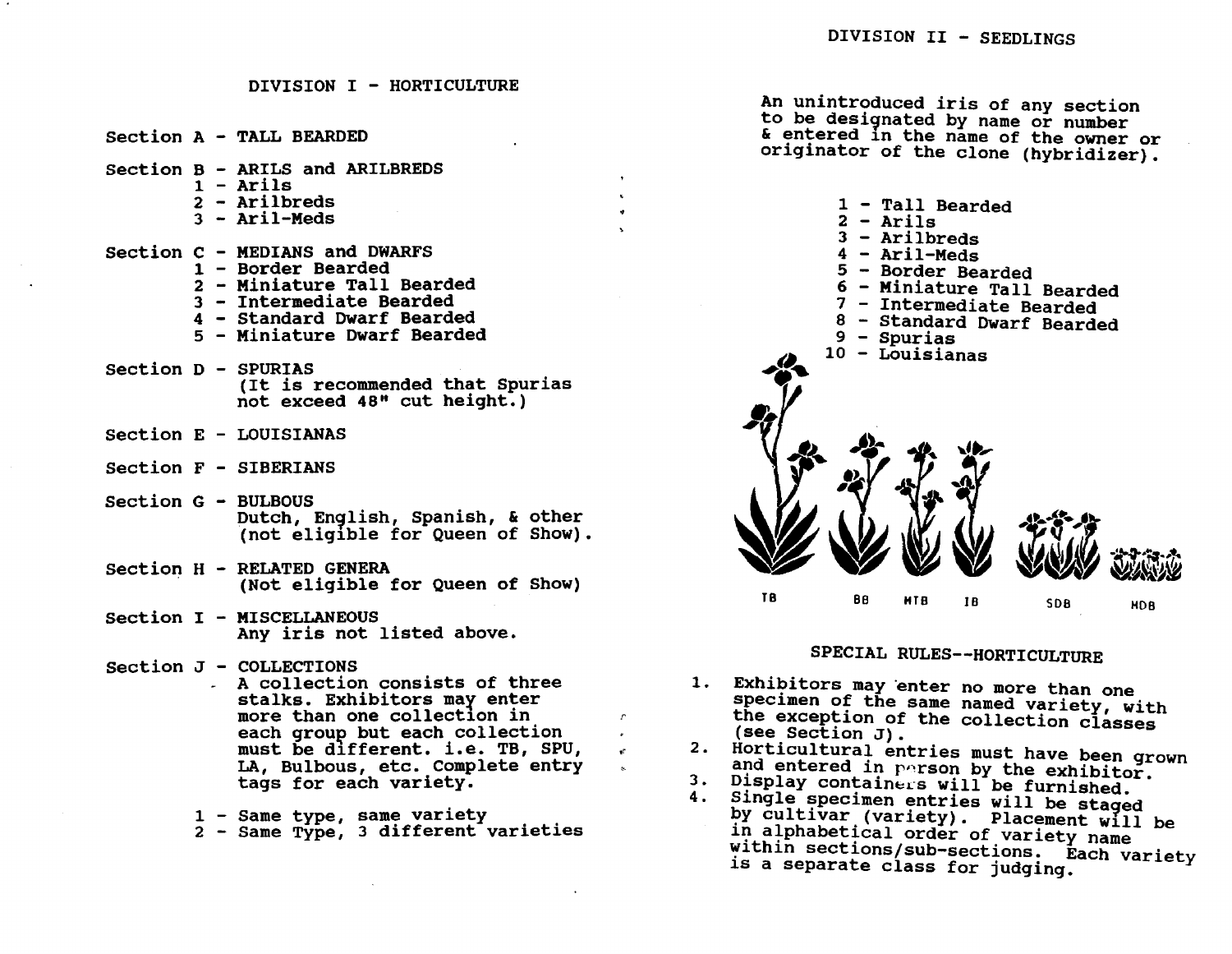DIVISION I - HORTICULTURE section A - TALL BEARDED section B - ARILS and ARILBREDS  $1 -$  Arils 2 - Arilbreds  $3 -$  Aril-Meds section C - MEDIANS and DWARFS 1 - Border Bearded 2 - Miniature Tall Bearded 3 - Intermediate Bearded 4 - Standard Dwarf Bearded 5 - Miniature Dwarf Bearded section D - SPURIAS (It is recommended that Spurias not exceed 48" cut height.) section E - LOUISIANAS section F - SIBERIANS Section G - BULBOUS section H - RELATED GENERA Section I - MISCELLANEOUS Section J - COLLECTIONS Dutch, English, Spanish, & other (not elig1ble for Queen of Show). (Not eligible for Queen of Show) Any iris not listed above. A collection consists of three stalks. Exhibitors may enter more than one collection in each group but each collection must be d1fferent. i.e. TB, sPU, LA, Bulbous, etc. Complete entry tags for each variety. 1 - Same type, same variety 2 - Same Type, 3 different varieties *r*  1. Exhibitors may enter no more than one 2. Horticultural entries must have been grown<br>and entered in person by the exhibitor. 3. Display containers will be furnished. 4. Single specimen entries will be staged An unintroduced iris of any section to be designated by name or number & entered 1n the name of the owner or originator of the clone (hybridizer). T8 1 - Tall Bearded 2 - Arils 3 - Arilbreds 4 - Aril-Meds 5 - Border Bearded 6 - Miniature Tall Bearded 7 - Intermediate Bearded 8 - Standard Dwarf Bearded 9 - Spurias 10 - Louisianas BB HTB IB SOB HOB SPECIAL RULES--HORTICULTURE specimen of the same named variety, with the exception of the collection classes (see Section J). by cultivar (variety). Placement will be in alphabetical order of variety name

within sections/sub-sections. Each variety<br>is a separate class for judging.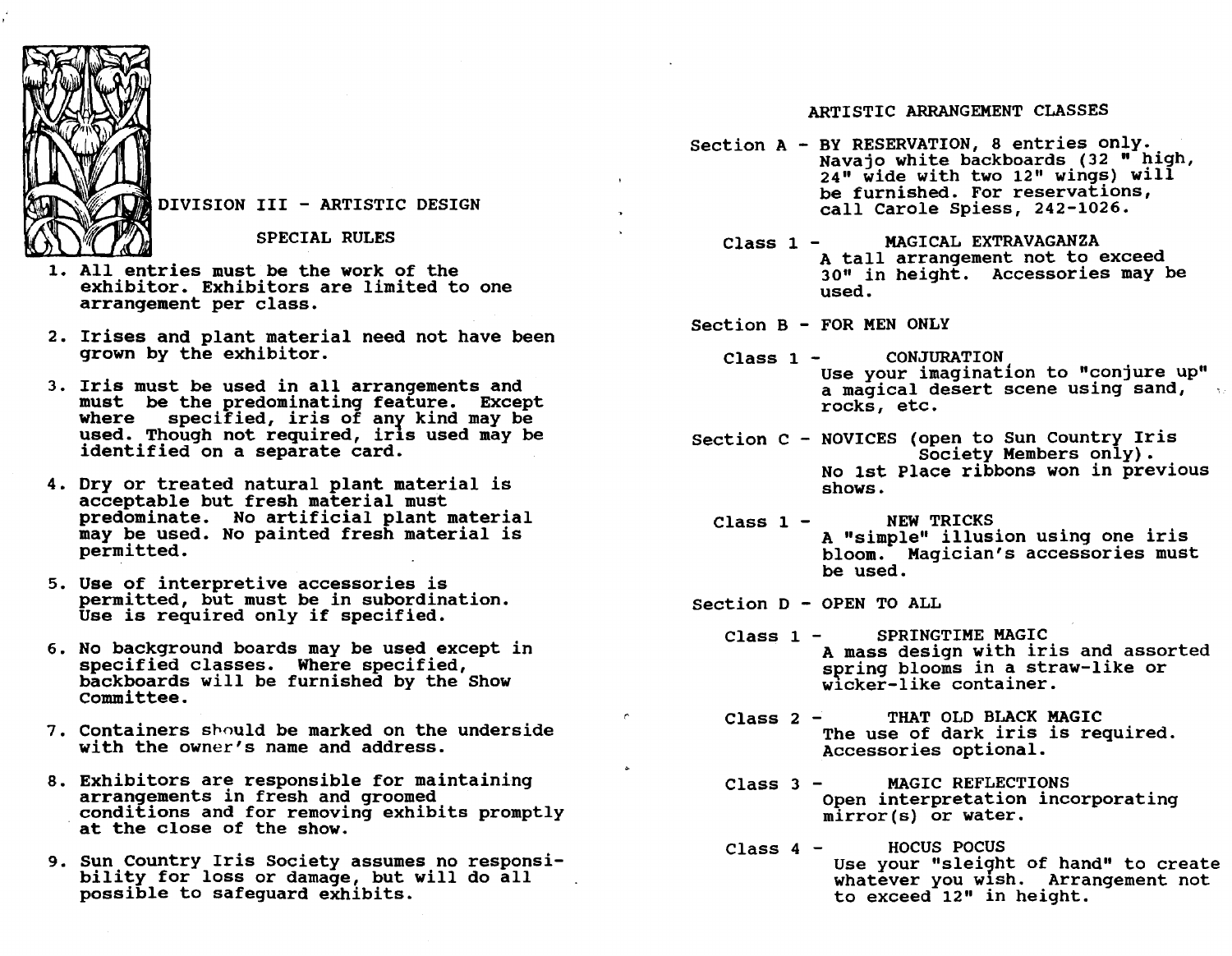

DIVISION III - ARTISTIC DESIGN

SPECIAL RULES

- 1. All entries must be the work of the exhibitor. Exhibitors are limited to one arrangement per class.
- 2. Irises and plant material need not have been grown by the exhibitor.
- 3. Iris must be used in all arrangements and must be the predominating feature. Except where specified, iris of anr kind may be used. Though not required, irls used may be identified on a separate card.
- 4. Dry or treated natural plant material is acceptable but fresh material must predominate. No artificial plant material may be used. No painted fresh material is permitted.
- 5. Use of interpretive accessories is permitted, but must be in subordination. Use is required only if specified.
- 6. No background boards may be used except in backboards will be furnished by the Show committee.
- 7. containers spould be marked on the underside with the owner's name and address.
- 8. Exhibitors are responsible for maintaining conditions and for removing exhibits promptly at the close of the show.
- 9. Sun Country Iris Society assumes no responsi- bility for loss or damage, but will do all possible to safeguard exhibits.

## ARTISTIC ARRANGEMENT CLASSES

- Section A BY RESERVATION, 8 entries only.<br>Navajo white backboards (32 " high,<br>24" wide with two 12" wings) will be furnished. For reservations, call Carole Spiess, 242-1026.
	- Class 1 MAGICAL EXTRAVAGANZA A tall arrangement not to exceed 30" in height. Accessories may be used.

Section B - FOR MEN ONLY

- Class 1 CONJURATION Use your imagination to "conjure up" a magical desert scene using sand, rocks, etc.
- Section C NOVICES (open to Sun Country Iris society Members only). No 1st Place ribbons won in previous shows.
	- $Class 1 -$ NEW TRICKS A "simple" illusion using one iris bloom. Magician's accessories must be used.

Section D - OPEN TO ALL

*r* 

- Class 1 SPRINGTIME MAGIC A mass design with iris and assorted spring blooms in a straw-like or w1cker-like container.
- Class 2 THAT OLD BLACK MAGIC The use of dark iris is required. Accessories optional.
- Class 3 MAGIC REFLECTIONS Open interpretation incorporating mirror(s} or water.
- Class 4 HOCUS POCUS Use your "sleight of hand" to create whatever you wish. Arrangement not to exceed 12" in height.